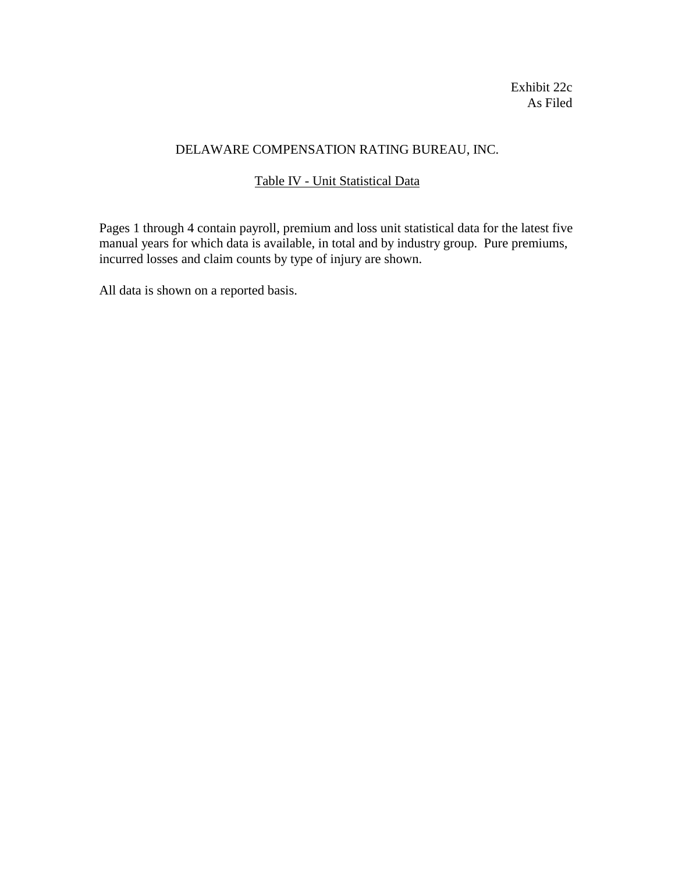Exhibit 22c As Filed

# DELAWARE COMPENSATION RATING BUREAU, INC.

# Table IV - Unit Statistical Data

Pages 1 through 4 contain payroll, premium and loss unit statistical data for the latest five manual years for which data is available, in total and by industry group. Pure premiums, incurred losses and claim counts by type of injury are shown.

All data is shown on a reported basis.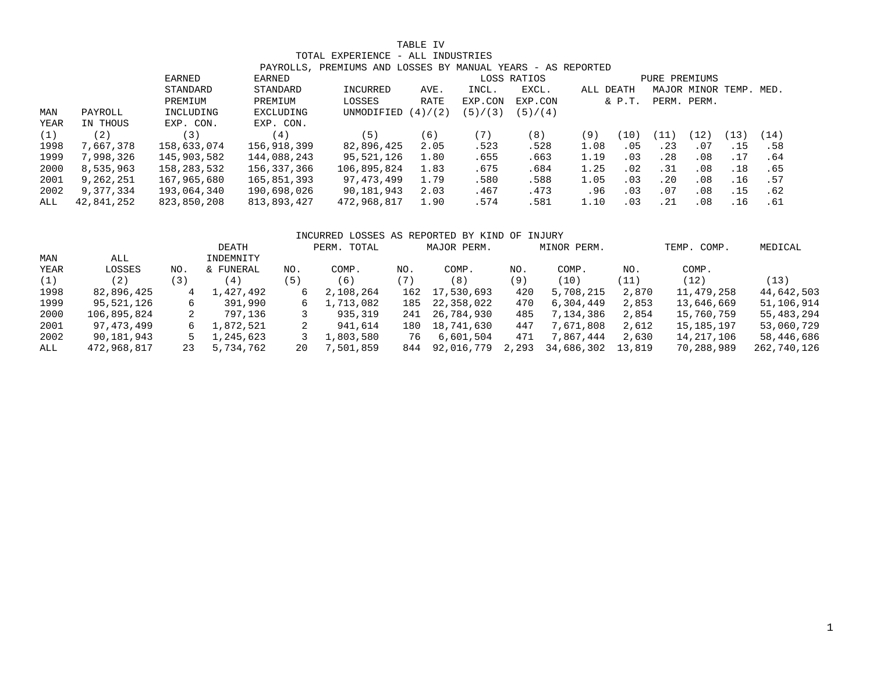### TABLE IV

## TOTAL EXPERIENCE - ALL INDUSTRIES

|      |            |             |             | PAYROLLS, PREMIUMS AND LOSSES BY MANUAL YEARS - AS REPORTED |             |           |             |               |            |      |             |                        |      |
|------|------------|-------------|-------------|-------------------------------------------------------------|-------------|-----------|-------------|---------------|------------|------|-------------|------------------------|------|
|      |            | EARNED      | EARNED      |                                                             |             |           | LOSS RATIOS | PURE PREMIUMS |            |      |             |                        |      |
|      | STANDARD   |             | STANDARD    | INCURRED                                                    | AVE.        | INCL.     | EXCL.       | ALL DEATH     |            |      |             | MAJOR MINOR TEMP. MED. |      |
|      |            | PREMIUM     | PREMIUM     | LOSSES                                                      | <b>RATE</b> | EXP.CON   | EXP.CON     |               | $&$ $P.T.$ |      | PERM. PERM. |                        |      |
| MAN  | PAYROLL    | INCLUDING   | EXCLUDING   | UNMODIFIED                                                  | (4)/(2)     | (5) / (3) | (5) / (4)   |               |            |      |             |                        |      |
| YEAR | IN THOUS   | EXP. CON.   | EXP. CON.   |                                                             |             |           |             |               |            |      |             |                        |      |
| (1)  | (2)        | 3)          | (4)         | (5)                                                         | (6)         | (7)       | (8)         | (9)           | (10)       | (11) | (12)        | 13)                    | (14) |
| 1998 | 7,667,378  | 158,633,074 | 156,918,399 | 82,896,425                                                  | 2.05        | .523      | .528        | 1.08          | .05        | .23  | .07         | .15                    | .58  |
| 1999 | 7,998,326  | 145,903,582 | 144,088,243 | 95,521,126                                                  | 1.80        | .655      | .663        | 1.19          | .03        | .28  | .08         | .17                    | .64  |
| 2000 | 8,535,963  | 158,283,532 | 156,337,366 | 106,895,824                                                 | 1.83        | .675      | .684        | 1.25          | .02        | .31  | .08         | .18                    | .65  |
| 2001 | 9,262,251  | 167,965,680 | 165,851,393 | 97, 473, 499                                                | 1.79        | .580      | .588        | 1.05          | .03        | .20  | .08         | .16                    | .57  |
| 2002 | 9,377,334  | 193,064,340 | 190,698,026 | 90,181,943                                                  | 2.03        | .467      | .473        | .96           | .03        | .07  | .08         | .15                    | .62  |
| ALL  | 42,841,252 | 823,850,208 | 813,893,427 | 472,968,817                                                 | 1.90        | .574      | .581        | 1.10          | .03        | .21  | .08         | .16                    | .61  |

## INCURRED LOSSES AS REPORTED BY KIND OF INJURY DEATH PERM. TOTAL MAJOR PERM. MINOR PERM. TEMP. COMP. MEDICAL MAN ALL ALL INDEMNITY YEAR LOSSES NO. & FUNERAL NO. COMP. NO. COMP. NO. COMP. NO. COMP. (1) (2) (3) (4) (5) (6) (7) (8) (9) (10) (11) (12) (13) 1998 82,896,425 4 1,427,492 6 2,108,264 162 17,530,693 420 5,708,215 2,870 11,479,258 44,642,503 1999 95,521,126 6 391,990 6 1,713,082 185 22,358,022 470 6,304,449 2,853 13,646,669 51,106,914 2000 106,895,824 2 797,136 3 935,319 241 26,784,930 485 7,134,386 2,854 15,760,759 55,483,294 2001 97,473,499 6 1,872,521 2 941,614 180 18,741,630 447 7,671,808 2,612 15,185,197 53,060,729 2002 90,181,943 5 1,245,623 3 1,803,580 76 6,601,504 471 7,867,444 2,630 14,217,106 58,446,686 ALL 472,968,817 23 5,734,762 20 7,501,859 844 92,016,779 2,293 34,686,302 13,819 70,288,989 262,740,126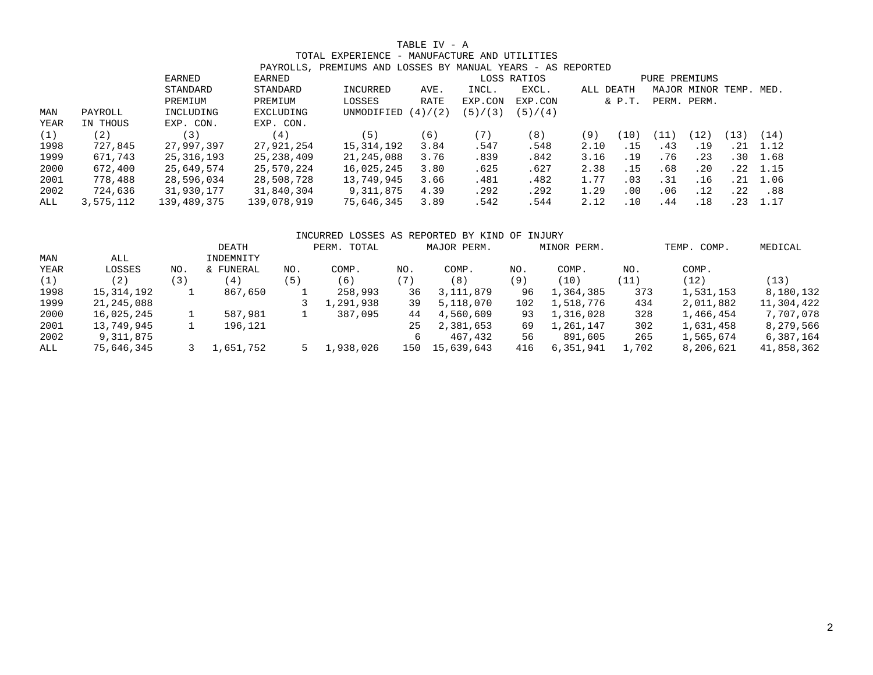## TABLE IV - A

#### TOTAL EXPERIENCE - MANUFACTURE AND UTILITIES PAYROLLS, PREMIUMS AND LOSSES BY MANUAL YEARS - AS REPORTED

|      |           |             |               | PAIROLLS, PREMIUMS AND LOSSES BI MANUAL IEARS - AS REPORIED |           |           |           |           |               |               |                        |                  |                  |
|------|-----------|-------------|---------------|-------------------------------------------------------------|-----------|-----------|-----------|-----------|---------------|---------------|------------------------|------------------|------------------|
|      |           | EARNED      | <b>EARNED</b> |                                                             |           |           |           |           | PURE PREMIUMS |               |                        |                  |                  |
|      |           | STANDARD    | STANDARD      | INCURRED                                                    | AVE.      | INCL.     | EXCL.     | ALL DEATH |               |               | MAJOR MINOR TEMP. MED. |                  |                  |
|      |           | PREMIUM     | PREMIUM       | LOSSES                                                      | RATE      | EXP.CON   | EXP.CON   |           | $&$ $P.T.$    |               | PERM. PERM.            |                  |                  |
| MAN  | PAYROLL   | INCLUDING   | EXCLUDING     | UNMODIFIED                                                  | (2)<br>4) | (5) / (3) | (5) / (4) |           |               |               |                        |                  |                  |
| YEAR | IN THOUS  | EXP. CON.   | EXP. CON.     |                                                             |           |           |           |           |               |               |                        |                  |                  |
| (1)  | '2)       | (3)         | (4)           | (5)                                                         | (6)       | (7)       | (8)       | (9)       | (10)          | $^{\prime}11$ | (12)                   | 13)              | (14)             |
| 1998 | 727,845   | 27,997,397  | 27,921,254    | 15,314,192                                                  | 3.84      | .547      | .548      | 2.10      | .15           | .43           | .19                    |                  | $.21 \quad 1.12$ |
| 1999 | 671,743   | 25,316,193  | 25,238,409    | 21,245,088                                                  | 3.76      | .839      | .842      | 3.16      | .19           | .76           | .23                    | .30 <sub>1</sub> | 1.68             |
| 2000 | 672,400   | 25,649,574  | 25,570,224    | 16,025,245                                                  | 3.80      | .625      | .627      | 2.38      | .15           | .68           | .20                    |                  | $.22$ $1.15$     |
| 2001 | 778,488   | 28,596,034  | 28,508,728    | 13,749,945                                                  | 3.66      | .481      | .482      | 1.77      | .03           | .31           | .16                    | . 21             | 1.06             |
| 2002 | 724,636   | 31,930,177  | 31,840,304    | 9,311,875                                                   | 4.39      | .292      | .292      | 1.29      | .00           | .06           | .12                    | .22              | .88              |
| ALL  | 3,575,112 | 139,489,375 | 139,078,919   | 75,646,345                                                  | 3.89      | .542      | .544      | 2.12      | .10           | .44           | .18                    | . 23             | 1.17             |

|              |     | DEATH     |     |           |             |           |                           |           |                                                              | COMP.<br>TEMP. | MEDICAL    |
|--------------|-----|-----------|-----|-----------|-------------|-----------|---------------------------|-----------|--------------------------------------------------------------|----------------|------------|
| ALL          |     | INDEMNITY |     |           |             |           |                           |           |                                                              |                |            |
| LOSSES       | NO. | & FUNERAL | NO. | COMP.     | NO.         | COMP.     | NO.                       | COMP.     | NO.                                                          | COMP.          |            |
| (2)          | (3) | (4)       | (5) | (6)       | (7)         | (8)       | (9)                       | (10)      | (11)                                                         | (12)           | (13)       |
| 15, 314, 192 | 1   | 867,650   |     | 258,993   | 36          | 3,111,879 | 96                        | 1,364,385 | 373                                                          | 1,531,153      | 8,180,132  |
| 21,245,088   |     |           |     | 1,291,938 | 39          | 5,118,070 | 102                       | 1,518,776 | 434                                                          | 2,011,882      | 11,304,422 |
| 16,025,245   |     | 587,981   |     | 387,095   | 44          | 4,560,609 | 93                        | 1,316,028 | 328                                                          | 1,466,454      | 7,707,078  |
| 13,749,945   | 1   | 196,121   |     |           | 25          | 2,381,653 | 69                        | 1,261,147 | 302                                                          | 1,631,458      | 8,279,566  |
| 9,311,875    |     |           |     |           |             | 467,432   | 56                        | 891,605   | 265                                                          | 1,565,674      | 6,387,164  |
| 75,646,345   |     | 1,651,752 |     | 1,938,026 | 150         |           | 416                       | 6,351,941 | 1,702                                                        | 8,206,621      | 41,858,362 |
|              |     |           |     |           | PERM. TOTAL |           | MAJOR PERM.<br>15,639,643 |           | INCURRED LOSSES AS REPORTED BY KIND OF INJURY<br>MINOR PERM. |                |            |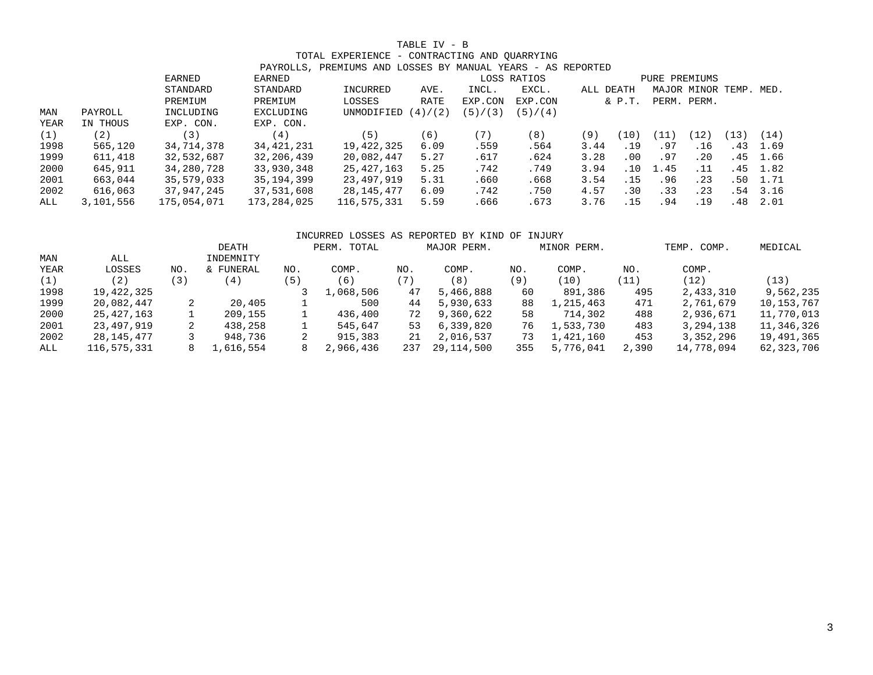## TABLE IV - B

#### TOTAL EXPERIENCE - CONTRACTING AND QUARRYING PAYROLLS, PREMIUMS AND LOSSES BY MANUAL YEARS - AS REPORTED

|             |           |             |              | PAIRULLS, PREMIUMS AND LUSSES BI MANUAL IEARS - AS REPURIED |             |             |               |           |            |      |                        |     |              |
|-------------|-----------|-------------|--------------|-------------------------------------------------------------|-------------|-------------|---------------|-----------|------------|------|------------------------|-----|--------------|
|             |           | EARNED      | EARNED       |                                                             |             | LOSS RATIOS | PURE PREMIUMS |           |            |      |                        |     |              |
|             |           | STANDARD    | STANDARD     | INCURRED                                                    | AVE.        | INCL.       | EXCL.         | ALL DEATH |            |      | MAJOR MINOR TEMP. MED. |     |              |
|             |           | PREMIUM     | PREMIUM      | LOSSES                                                      | RATE        | EXP.CON     | EXP.CON       |           | $&$ $P.T.$ |      | PERM. PERM.            |     |              |
| MAN         | PAYROLL   | INCLUDING   | EXCLUDING    | UNMODIFIED                                                  | /(2)<br>(4) | (5) / (3)   | (5) / (4)     |           |            |      |                        |     |              |
| <b>YEAR</b> | IN THOUS  | EXP. CON.   | EXP. CON.    |                                                             |             |             |               |           |            |      |                        |     |              |
| (1)         | 〔2〕       | 3)          | 4)           | (5)                                                         | (6)         | (7)         | (8)           | (9)       | (10)       | (11) | (12)                   | 13) | (14)         |
| 1998        | 565,120   | 34,714,378  | 34, 421, 231 | 19,422,325                                                  | 6.09        | .559        | .564          | 3.44      | .19        | .97  | .16                    |     | .43 1.69     |
| 1999        | 611,418   | 32,532,687  | 32,206,439   | 20,082,447                                                  | 5.27        | .617        | .624          | 3.28      | .00        | .97  | .20                    |     | .45 1.66     |
| 2000        | 645,911   | 34,280,728  | 33,930,348   | 25,427,163                                                  | 5.25        | .742        | .749          | 3.94      | .10        | 1.45 | .11                    |     | .45 1.82     |
| 2001        | 663,044   | 35,579,033  | 35, 194, 399 | 23,497,919                                                  | 5.31        | .660        | .668          | 3.54      | .15        | .96  | .23                    | .50 | 1.71         |
| 2002        | 616,063   | 37,947,245  | 37,531,608   | 28,145,477                                                  | 6.09        | .742        | .750          | 4.57      | .30        | .33  | .23                    |     | $.54$ $3.16$ |
| ALL         | 3,101,556 | 175,054,071 | 173,284,025  | 116,575,331                                                 | 5.59        | .666        | .673          | 3.76      | .15        | .94  | .19                    |     | $.48$ 2.01   |

## INCURRED LOSSES AS REPORTED BY KIND OF INJURY DEATH PERM. TOTAL MAJOR PERM. MINOR PERM. TEMP. COMP. MEDICAL MAN ALL **INDEMNITY** YEAR LOSSES NO. & FUNERAL NO. COMP. NO. COMP. NO. COMP. NO. COMP. (1) (2) (3) (4) (5) (6) (7) (8) (9) (10) (11) (12) (13) 1998 19,422,325 3 1,068,506 47 5,466,888 60 891,386 495 2,433,310 9,562,235

| 1999 | 20,082,447  | 20,405    | 500       | 44 | 5,930,633        | 88  | 1,215,463    | 471   | 2,761,679  | 10,153,767 |
|------|-------------|-----------|-----------|----|------------------|-----|--------------|-------|------------|------------|
| 2000 | 25,427,163  | 209,155   | 436,400   | 72 | 9,360,622        | 58  | 714.302      | 488   | 2,936,671  | 11,770,013 |
| 2001 | 23,497,919  | 438,258   | 545,647   | 53 | 6,339,820        |     | 76 1,533,730 | 483   | 3,294,138  | 11,346,326 |
| 2002 | 28,145,477  | 948,736   | 915,383   | 21 | 2,016,537        | 73  | 1,421,160    | 453   | 3,352,296  | 19,491,365 |
| ALL  | 116,575,331 | 1,616,554 | 2,966,436 |    | 237 29, 114, 500 | 355 | 5,776,041    | 2,390 | 14,778,094 | 62,323,706 |